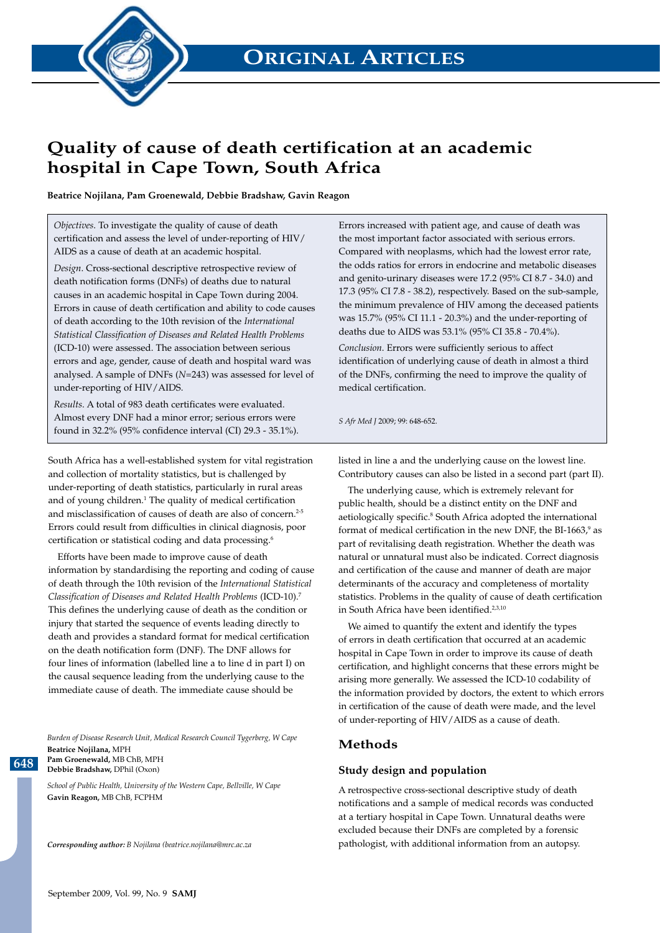**ORIGINAL ARTICLES**



# **Quality of cause of death certification at an academic hospital in Cape Town, South Africa**

**Beatrice Nojilana, Pam Groenewald, Debbie Bradshaw, Gavin Reagon**

*Objectives*. To investigate the quality of cause of death certification and assess the level of under-reporting of HIV/ AIDS as a cause of death at an academic hospital.

*Design*. Cross-sectional descriptive retrospective review of death notification forms (DNFs) of deaths due to natural causes in an academic hospital in Cape Town during 2004. Errors in cause of death certification and ability to code causes of death according to the 10th revision of the *International Statistical Classification of Diseases and Related Health Problems* (ICD-10) were assessed. The association between serious errors and age, gender, cause of death and hospital ward was analysed. A sample of DNFs (*N*=243) was assessed for level of under-reporting of HIV/AIDS.

*Results*. A total of 983 death certificates were evaluated. Almost every DNF had a minor error; serious errors were found in 32.2% (95% confidence interval (CI) 29.3 - 35.1%).

South Africa has a well-established system for vital registration and collection of mortality statistics, but is challenged by under-reporting of death statistics, particularly in rural areas and of young children.<sup>1</sup> The quality of medical certification and misclassification of causes of death are also of concern.<sup>2-5</sup> Errors could result from difficulties in clinical diagnosis, poor certification or statistical coding and data processing.6

Efforts have been made to improve cause of death information by standardising the reporting and coding of cause of death through the 10th revision of the *International Statistical Classification of Diseases and Related Health Problems* (ICD-10).7 This defines the underlying cause of death as the condition or injury that started the sequence of events leading directly to death and provides a standard format for medical certification on the death notification form (DNF). The DNF allows for four lines of information (labelled line a to line d in part I) on the causal sequence leading from the underlying cause to the immediate cause of death. The immediate cause should be

*Burden of Disease Research Unit, Medical Research Council Tygerberg, W Cape* **Beatrice Nojilana,** MPH **Pam Groenewald,** MB ChB, MPH **Debbie Bradshaw,** DPhil (Oxon)

*School of Public Health, University of the Western Cape, Bellville, W Cape* **Gavin Reagon,** MB ChB, FCPHM

*Corresponding author: B Nojilana (beatrice.nojilana@mrc.ac.za*

Errors increased with patient age, and cause of death was the most important factor associated with serious errors. Compared with neoplasms, which had the lowest error rate, the odds ratios for errors in endocrine and metabolic diseases and genito-urinary diseases were 17.2 (95% CI 8.7 - 34.0) and 17.3 (95% CI 7.8 - 38.2), respectively. Based on the sub-sample, the minimum prevalence of HIV among the deceased patients was 15.7% (95% CI 11.1 - 20.3%) and the under-reporting of deaths due to AIDS was 53.1% (95% CI 35.8 - 70.4%).

*Conclusion*. Errors were sufficiently serious to affect identification of underlying cause of death in almost a third of the DNFs, confirming the need to improve the quality of medical certification.

*S Afr Med J* 2009; 99: 648-652.

listed in line a and the underlying cause on the lowest line. Contributory causes can also be listed in a second part (part II).

The underlying cause, which is extremely relevant for public health, should be a distinct entity on the DNF and aetiologically specific.<sup>8</sup> South Africa adopted the international format of medical certification in the new DNF, the BI-1663, $\degree$  as part of revitalising death registration. Whether the death was natural or unnatural must also be indicated. Correct diagnosis and certification of the cause and manner of death are major determinants of the accuracy and completeness of mortality statistics. Problems in the quality of cause of death certification in South Africa have been identified.<sup>2,3,10</sup>

We aimed to quantify the extent and identify the types of errors in death certification that occurred at an academic hospital in Cape Town in order to improve its cause of death certification, and highlight concerns that these errors might be arising more generally. We assessed the ICD-10 codability of the information provided by doctors, the extent to which errors in certification of the cause of death were made, and the level of under-reporting of HIV/AIDS as a cause of death.

#### **Methods**

#### **Study design and population**

A retrospective cross-sectional descriptive study of death notifications and a sample of medical records was conducted at a tertiary hospital in Cape Town. Unnatural deaths were excluded because their DNFs are completed by a forensic pathologist, with additional information from an autopsy.

**648**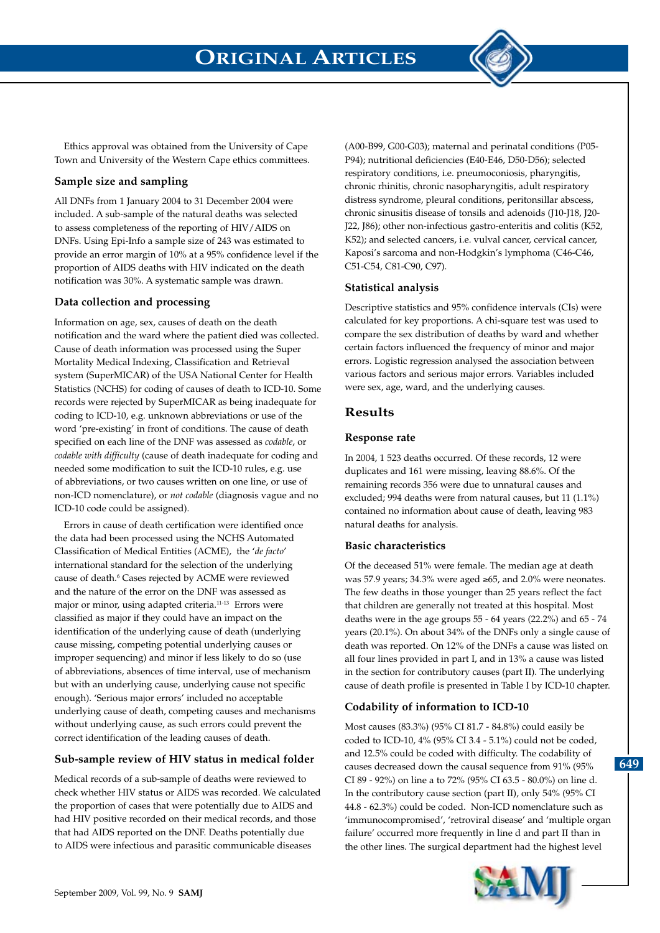

Ethics approval was obtained from the University of Cape Town and University of the Western Cape ethics committees.

### **Sample size and sampling**

All DNFs from 1 January 2004 to 31 December 2004 were included. A sub-sample of the natural deaths was selected to assess completeness of the reporting of HIV/AIDS on DNFs. Using Epi-Info a sample size of 243 was estimated to provide an error margin of 10% at a 95% confidence level if the proportion of AIDS deaths with HIV indicated on the death notification was 30%. A systematic sample was drawn.

### **Data collection and processing**

Information on age, sex, causes of death on the death notification and the ward where the patient died was collected. Cause of death information was processed using the Super Mortality Medical Indexing, Classification and Retrieval system (SuperMICAR) of the USA National Center for Health Statistics (NCHS) for coding of causes of death to ICD-10. Some records were rejected by SuperMICAR as being inadequate for coding to ICD-10, e.g. unknown abbreviations or use of the word 'pre-existing' in front of conditions. The cause of death specified on each line of the DNF was assessed as *codable*, or *codable with difficulty* (cause of death inadequate for coding and needed some modification to suit the ICD-10 rules, e.g. use of abbreviations, or two causes written on one line, or use of non-ICD nomenclature), or *not codable* (diagnosis vague and no ICD-10 code could be assigned).

Errors in cause of death certification were identified once the data had been processed using the NCHS Automated Classification of Medical Entities (ACME), the '*de facto*' international standard for the selection of the underlying cause of death.<sup>6</sup> Cases rejected by ACME were reviewed and the nature of the error on the DNF was assessed as major or minor, using adapted criteria.<sup>11-13</sup> Errors were classified as major if they could have an impact on the identification of the underlying cause of death (underlying cause missing, competing potential underlying causes or improper sequencing) and minor if less likely to do so (use of abbreviations, absences of time interval, use of mechanism but with an underlying cause, underlying cause not specific enough). 'Serious major errors' included no acceptable underlying cause of death, competing causes and mechanisms without underlying cause, as such errors could prevent the correct identification of the leading causes of death.

### **Sub-sample review of HIV status in medical folder**

Medical records of a sub-sample of deaths were reviewed to check whether HIV status or AIDS was recorded. We calculated the proportion of cases that were potentially due to AIDS and had HIV positive recorded on their medical records, and those that had AIDS reported on the DNF. Deaths potentially due to AIDS were infectious and parasitic communicable diseases

(A00-B99, G00-G03); maternal and perinatal conditions (P05- P94); nutritional deficiencies (E40-E46, D50-D56); selected respiratory conditions, i.e. pneumoconiosis, pharyngitis, chronic rhinitis, chronic nasopharyngitis, adult respiratory distress syndrome, pleural conditions, peritonsillar abscess, chronic sinusitis disease of tonsils and adenoids (J10-J18, J20- J22, J86); other non-infectious gastro-enteritis and colitis (K52, K52); and selected cancers, i.e. vulval cancer, cervical cancer, Kaposi's sarcoma and non-Hodgkin's lymphoma (C46-C46, C51-C54, C81-C90, C97).

### **Statistical analysis**

Descriptive statistics and 95% confidence intervals (CIs) were calculated for key proportions. A chi-square test was used to compare the sex distribution of deaths by ward and whether certain factors influenced the frequency of minor and major errors. Logistic regression analysed the association between various factors and serious major errors. Variables included were sex, age, ward, and the underlying causes.

## **Results**

### **Response rate**

In 2004, 1 523 deaths occurred. Of these records, 12 were duplicates and 161 were missing, leaving 88.6%. Of the remaining records 356 were due to unnatural causes and excluded; 994 deaths were from natural causes, but 11 (1.1%) contained no information about cause of death, leaving 983 natural deaths for analysis.

### **Basic characteristics**

Of the deceased 51% were female. The median age at death was 57.9 years; 34.3% were aged ≥65, and 2.0% were neonates. The few deaths in those younger than 25 years reflect the fact that children are generally not treated at this hospital. Most deaths were in the age groups 55 - 64 years (22.2%) and 65 - 74 years (20.1%). On about 34% of the DNFs only a single cause of death was reported. On 12% of the DNFs a cause was listed on all four lines provided in part I, and in 13% a cause was listed in the section for contributory causes (part II). The underlying cause of death profile is presented in Table I by ICD-10 chapter.

# **Codability of information to ICD-10**

Most causes (83.3%) (95% CI 81.7 - 84.8%) could easily be coded to ICD-10, 4% (95% CI 3.4 - 5.1%) could not be coded, and 12.5% could be coded with difficulty. The codability of causes decreased down the causal sequence from 91% (95% CI 89 - 92%) on line a to 72% (95% CI 63.5 - 80.0%) on line d. In the contributory cause section (part II), only 54% (95% CI 44.8 - 62.3%) could be coded. Non-ICD nomenclature such as 'immunocompromised', 'retroviral disease' and 'multiple organ failure' occurred more frequently in line d and part II than in the other lines. The surgical department had the highest level

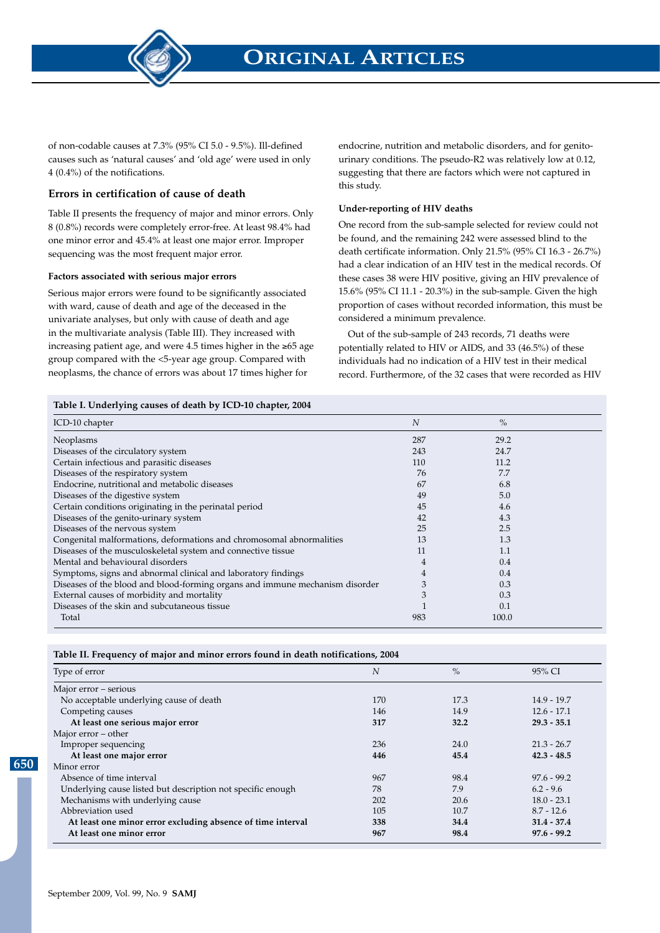

of non-codable causes at 7.3% (95% CI 5.0 - 9.5%). Ill-defined causes such as 'natural causes' and 'old age' were used in only 4 (0.4%) of the notifications.

#### **Errors in certification of cause of death**

Table II presents the frequency of major and minor errors. Only 8 (0.8%) records were completely error-free. At least 98.4% had one minor error and 45.4% at least one major error. Improper sequencing was the most frequent major error.

#### **Factors associated with serious major errors**

Serious major errors were found to be significantly associated with ward, cause of death and age of the deceased in the univariate analyses, but only with cause of death and age in the multivariate analysis (Table III). They increased with increasing patient age, and were 4.5 times higher in the ≥65 age group compared with the <5-year age group. Compared with neoplasms, the chance of errors was about 17 times higher for

endocrine, nutrition and metabolic disorders, and for genitourinary conditions. The pseudo-R2 was relatively low at 0.12, suggesting that there are factors which were not captured in this study.

#### **Under-reporting of HIV deaths**

One record from the sub-sample selected for review could not be found, and the remaining 242 were assessed blind to the death certificate information. Only 21.5% (95% CI 16.3 - 26.7%) had a clear indication of an HIV test in the medical records. Of these cases 38 were HIV positive, giving an HIV prevalence of 15.6% (95% CI 11.1 - 20.3%) in the sub-sample. Given the high proportion of cases without recorded information, this must be considered a minimum prevalence.

Out of the sub-sample of 243 records, 71 deaths were potentially related to HIV or AIDS, and 33 (46.5%) of these individuals had no indication of a HIV test in their medical record. Furthermore, of the 32 cases that were recorded as HIV

#### **Table I. Underlying causes of death by ICD-10 chapter, 2004**

| ICD-10 chapter                                                               | $\overline{N}$ | $\%$  |  |
|------------------------------------------------------------------------------|----------------|-------|--|
| Neoplasms                                                                    | 287            | 29.2  |  |
| Diseases of the circulatory system                                           | 243            | 24.7  |  |
| Certain infectious and parasitic diseases                                    | 110            | 11.2  |  |
| Diseases of the respiratory system                                           | 76             | 7.7   |  |
| Endocrine, nutritional and metabolic diseases                                | 67             | 6.8   |  |
| Diseases of the digestive system                                             | 49             | 5.0   |  |
| Certain conditions originating in the perinatal period                       | 45             | 4.6   |  |
| Diseases of the genito-urinary system                                        | 42             | 4.3   |  |
| Diseases of the nervous system                                               | 25             | 2.5   |  |
| Congenital malformations, deformations and chromosomal abnormalities         | 13             | 1.3   |  |
| Diseases of the musculoskeletal system and connective tissue                 | 11             | 1.1   |  |
| Mental and behavioural disorders                                             | 4              | 0.4   |  |
| Symptoms, signs and abnormal clinical and laboratory findings                | 4              | 0.4   |  |
| Diseases of the blood and blood-forming organs and immune mechanism disorder | 3              | 0.3   |  |
| External causes of morbidity and mortality                                   | 3              | 0.3   |  |
| Diseases of the skin and subcutaneous tissue                                 |                | 0.1   |  |
| Total                                                                        | 983            | 100.0 |  |

| Type of error                                               | $\overline{N}$ | $\frac{0}{0}$ | 95% CI        |
|-------------------------------------------------------------|----------------|---------------|---------------|
| Major error - serious                                       |                |               |               |
| No acceptable underlying cause of death                     | 170            | 17.3          | $14.9 - 19.7$ |
| Competing causes                                            | 146            | 14.9          | $12.6 - 17.1$ |
| At least one serious major error                            | 317            | 32.2          | $29.3 - 35.1$ |
| Major error – other                                         |                |               |               |
| Improper sequencing                                         | 236            | 24.0          | $21.3 - 26.7$ |
| At least one major error                                    | 446            | 45.4          | $42.3 - 48.5$ |
| Minor error                                                 |                |               |               |
| Absence of time interval                                    | 967            | 98.4          | $97.6 - 99.2$ |
| Underlying cause listed but description not specific enough | 78             | 7.9           | $6.2 - 9.6$   |
| Mechanisms with underlying cause                            | 202            | 20.6          | $18.0 - 23.1$ |
| Abbreviation used                                           | 105            | 10.7          | $8.7 - 12.6$  |
| At least one minor error excluding absence of time interval | 338            | 34.4          | $31.4 - 37.4$ |
| At least one minor error                                    | 967            | 98.4          | $97.6 - 99.2$ |

**650**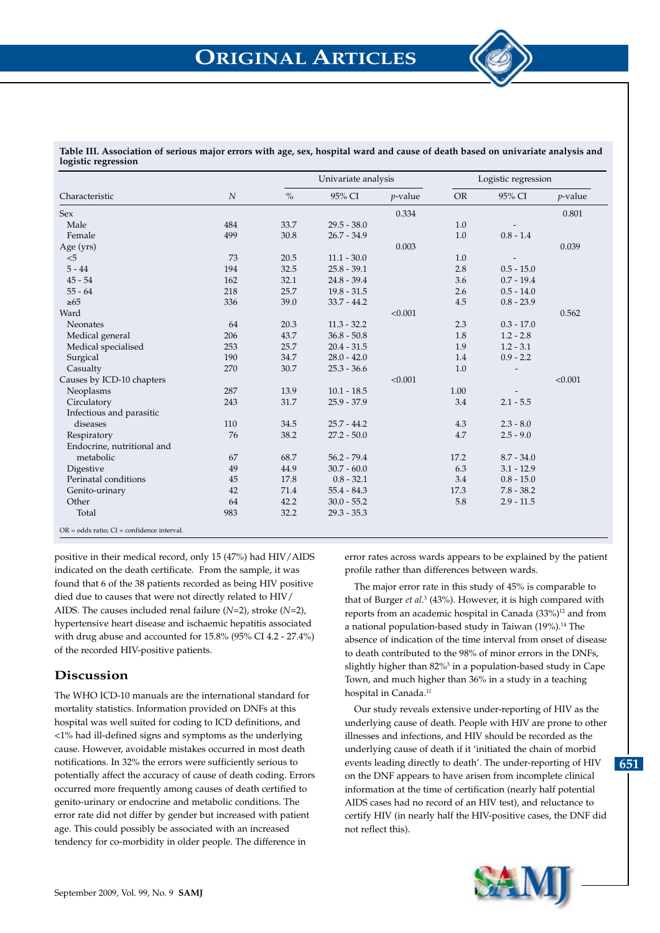

| Characteristic             | $\boldsymbol{N}$ |      | Univariate analysis |            |           | Logistic regression |            |
|----------------------------|------------------|------|---------------------|------------|-----------|---------------------|------------|
|                            |                  | $\%$ | 95% CI              | $p$ -value | <b>OR</b> | 95% CI              | $p$ -value |
| <b>Sex</b>                 |                  |      |                     | 0.334      |           |                     | 0.801      |
| Male                       | 484              | 33.7 | $29.5 - 38.0$       |            | 1.0       |                     |            |
| Female                     | 499              | 30.8 | $26.7 - 34.9$       |            | 1.0       | $0.8 - 1.4$         |            |
| Age (yrs)                  |                  |      |                     | 0.003      |           |                     | 0.039      |
| < 5                        | 73               | 20.5 | $11.1 - 30.0$       |            | 1.0       |                     |            |
| $5 - 44$                   | 194              | 32.5 | $25.8 - 39.1$       |            | 2.8       | $0.5 - 15.0$        |            |
| $45 - 54$                  | 162              | 32.1 | $24.8 - 39.4$       |            | 3.6       | $0.7 - 19.4$        |            |
| $55 - 64$                  | 218              | 25.7 | $19.8 - 31.5$       |            | 2.6       | $0.5 - 14.0$        |            |
| $\geq 65$                  | 336              | 39.0 | $33.7 - 44.2$       |            | 4.5       | $0.8 - 23.9$        |            |
| Ward                       |                  |      |                     | < 0.001    |           |                     | 0.562      |
| Neonates                   | 64               | 20.3 | $11.3 - 32.2$       |            | 2.3       | $0.3 - 17.0$        |            |
| Medical general            | 206              | 43.7 | $36.8 - 50.8$       |            | 1.8       | $1.2 - 2.8$         |            |
| Medical specialised        | 253              | 25.7 | $20.4 - 31.5$       |            | 1.9       | $1.2 - 3.1$         |            |
| Surgical                   | 190              | 34.7 | $28.0 - 42.0$       |            | 1.4       | $0.9 - 2.2$         |            |
| Casualty                   | 270              | 30.7 | $25.3 - 36.6$       |            | 1.0       |                     |            |
| Causes by ICD-10 chapters  |                  |      |                     | < 0.001    |           |                     | < 0.001    |
| Neoplasms                  | 287              | 13.9 | $10.1 - 18.5$       |            | 1.00      |                     |            |
| Circulatory                | 243              | 31.7 | $25.9 - 37.9$       |            | 3.4       | $2.1 - 5.5$         |            |
| Infectious and parasitic   |                  |      |                     |            |           |                     |            |
| diseases                   | 110              | 34.5 | $25.7 - 44.2$       |            | 4.3       | $2.3 - 8.0$         |            |
| Respiratory                | 76               | 38.2 | $27.2 - 50.0$       |            | 4.7       | $2.5 - 9.0$         |            |
| Endocrine, nutritional and |                  |      |                     |            |           |                     |            |
| metabolic                  | 67               | 68.7 | $56.2 - 79.4$       |            | 17.2      | $8.7 - 34.0$        |            |
| Digestive                  | 49               | 44.9 | $30.7 - 60.0$       |            | 6.3       | $3.1 - 12.9$        |            |
| Perinatal conditions       | 45               | 17.8 | $0.8 - 32.1$        |            | 3.4       | $0.8 - 15.0$        |            |
| Genito-urinary             | 42               | 71.4 | $55.4 - 84.3$       |            | 17.3      | $7.8 - 38.2$        |            |
| Other                      | 64               | 42.2 | $30.0 - 55.2$       |            | 5.8       | $2.9 - 11.5$        |            |
| Total                      | 983              | 32.2 | $29.3 - 35.3$       |            |           |                     |            |

positive in their medical record, only 15 (47%) had HIV/AIDS indicated on the death certificate. From the sample, it was found that 6 of the 38 patients recorded as being HIV positive died due to causes that were not directly related to HIV/ AIDS. The causes included renal failure (*N*=2), stroke (*N*=2), hypertensive heart disease and ischaemic hepatitis associated with drug abuse and accounted for 15.8% (95% CI 4.2 - 27.4%) of the recorded HIV-positive patients.

### **Discussion**

The WHO ICD-10 manuals are the international standard for mortality statistics. Information provided on DNFs at this hospital was well suited for coding to ICD definitions, and <1% had ill-defined signs and symptoms as the underlying cause. However, avoidable mistakes occurred in most death notifications. In 32% the errors were sufficiently serious to potentially affect the accuracy of cause of death coding. Errors occurred more frequently among causes of death certified to genito-urinary or endocrine and metabolic conditions. The error rate did not differ by gender but increased with patient age. This could possibly be associated with an increased tendency for co-morbidity in older people. The difference in

error rates across wards appears to be explained by the patient profile rather than differences between wards.

The major error rate in this study of 45% is comparable to that of Burger et al.<sup>3</sup> (43%). However, it is high compared with reports from an academic hospital in Canada (33%)<sup>12</sup> and from a national population-based study in Taiwan (19%).<sup>14</sup> The absence of indication of the time interval from onset of disease to death contributed to the 98% of minor errors in the DNFs, slightly higher than 82%<sup>3</sup> in a population-based study in Cape Town, and much higher than 36% in a study in a teaching hospital in Canada.<sup>11</sup>

Our study reveals extensive under-reporting of HIV as the underlying cause of death. People with HIV are prone to other illnesses and infections, and HIV should be recorded as the underlying cause of death if it 'initiated the chain of morbid events leading directly to death'. The under-reporting of HIV on the DNF appears to have arisen from incomplete clinical information at the time of certification (nearly half potential AIDS cases had no record of an HIV test), and reluctance to certify HIV (in nearly half the HIV-positive cases, the DNF did not reflect this).